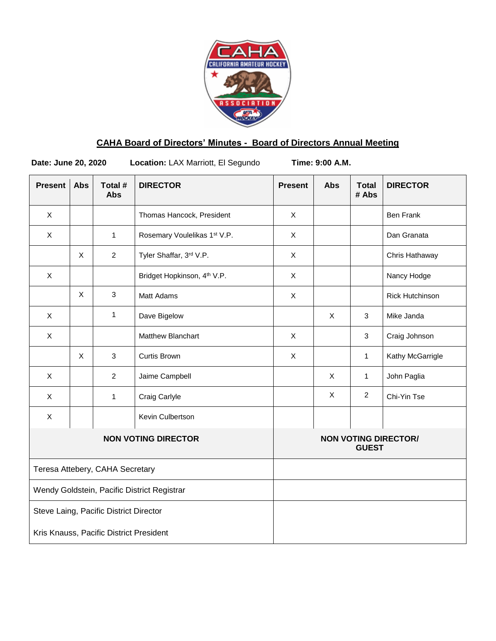

# **CAHA Board of Directors' Minutes - Board of Directors Annual Meeting**

**Date: June 20, 2020 Location:** LAX Marriott, El Segundo **Time: 9:00 A.M.**

| <b>Present</b>                              | <b>Abs</b>   | Total #<br><b>Abs</b> | <b>DIRECTOR</b>                         | <b>Present</b>                              | <b>Abs</b> | <b>Total</b><br># Abs | <b>DIRECTOR</b>        |
|---------------------------------------------|--------------|-----------------------|-----------------------------------------|---------------------------------------------|------------|-----------------------|------------------------|
| X                                           |              |                       | Thomas Hancock, President               | X                                           |            |                       | <b>Ben Frank</b>       |
| $\pmb{\times}$                              |              | $\mathbf{1}$          | Rosemary Voulelikas 1st V.P.            | $\pmb{\times}$                              |            |                       | Dan Granata            |
|                                             | X            | $\overline{2}$        | Tyler Shaffar, 3rd V.P.                 | X                                           |            |                       | Chris Hathaway         |
| X                                           |              |                       | Bridget Hopkinson, 4 <sup>th</sup> V.P. | X                                           |            |                       | Nancy Hodge            |
|                                             | $\mathsf{X}$ | $\mathbf{3}$          | Matt Adams                              | $\pmb{\times}$                              |            |                       | <b>Rick Hutchinson</b> |
| X                                           |              | 1                     | Dave Bigelow                            |                                             | X          | 3                     | Mike Janda             |
| X                                           |              |                       | Matthew Blanchart                       | X                                           |            | 3                     | Craig Johnson          |
|                                             | $\sf X$      | 3                     | <b>Curtis Brown</b>                     | X                                           |            | $\mathbf{1}$          | Kathy McGarrigle       |
| X                                           |              | $\overline{2}$        | Jaime Campbell                          |                                             | $\times$   | $\mathbf{1}$          | John Paglia            |
| X                                           |              | 1                     | Craig Carlyle                           |                                             | X          | $\overline{2}$        | Chi-Yin Tse            |
| X                                           |              |                       | Kevin Culbertson                        |                                             |            |                       |                        |
| <b>NON VOTING DIRECTOR</b>                  |              |                       |                                         | <b>NON VOTING DIRECTOR/</b><br><b>GUEST</b> |            |                       |                        |
| Teresa Attebery, CAHA Secretary             |              |                       |                                         |                                             |            |                       |                        |
| Wendy Goldstein, Pacific District Registrar |              |                       |                                         |                                             |            |                       |                        |
| Steve Laing, Pacific District Director      |              |                       |                                         |                                             |            |                       |                        |
| Kris Knauss, Pacific District President     |              |                       |                                         |                                             |            |                       |                        |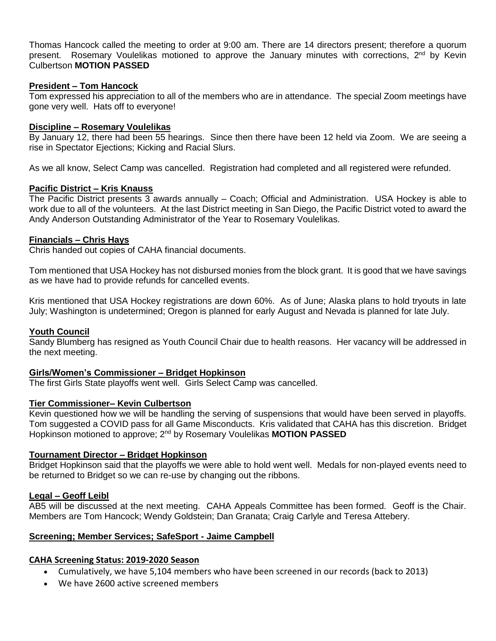Thomas Hancock called the meeting to order at 9:00 am. There are 14 directors present; therefore a quorum present. Rosemary Voulelikas motioned to approve the January minutes with corrections, 2<sup>nd</sup> by Kevin Culbertson **MOTION PASSED**

### **President – Tom Hancock**

Tom expressed his appreciation to all of the members who are in attendance. The special Zoom meetings have gone very well. Hats off to everyone!

#### **Discipline – Rosemary Voulelikas**

By January 12, there had been 55 hearings. Since then there have been 12 held via Zoom. We are seeing a rise in Spectator Ejections; Kicking and Racial Slurs.

As we all know, Select Camp was cancelled. Registration had completed and all registered were refunded.

#### **Pacific District – Kris Knauss**

The Pacific District presents 3 awards annually – Coach; Official and Administration. USA Hockey is able to work due to all of the volunteers. At the last District meeting in San Diego, the Pacific District voted to award the Andy Anderson Outstanding Administrator of the Year to Rosemary Voulelikas.

#### **Financials – Chris Hays**

Chris handed out copies of CAHA financial documents.

Tom mentioned that USA Hockey has not disbursed monies from the block grant. It is good that we have savings as we have had to provide refunds for cancelled events.

Kris mentioned that USA Hockey registrations are down 60%. As of June; Alaska plans to hold tryouts in late July; Washington is undetermined; Oregon is planned for early August and Nevada is planned for late July.

#### **Youth Council**

Sandy Blumberg has resigned as Youth Council Chair due to health reasons. Her vacancy will be addressed in the next meeting.

#### **Girls/Women's Commissioner – Bridget Hopkinson**

The first Girls State playoffs went well. Girls Select Camp was cancelled.

### **Tier Commissioner– Kevin Culbertson**

Kevin questioned how we will be handling the serving of suspensions that would have been served in playoffs. Tom suggested a COVID pass for all Game Misconducts. Kris validated that CAHA has this discretion. Bridget Hopkinson motioned to approve; 2nd by Rosemary Voulelikas **MOTION PASSED**

#### **Tournament Director – Bridget Hopkinson**

Bridget Hopkinson said that the playoffs we were able to hold went well. Medals for non-played events need to be returned to Bridget so we can re-use by changing out the ribbons.

#### **Legal – Geoff Leibl**

AB5 will be discussed at the next meeting. CAHA Appeals Committee has been formed. Geoff is the Chair. Members are Tom Hancock; Wendy Goldstein; Dan Granata; Craig Carlyle and Teresa Attebery.

#### **Screening; Member Services; SafeSport - Jaime Campbell**

#### **CAHA Screening Status: 2019-2020 Season**

- Cumulatively, we have 5,104 members who have been screened in our records (back to 2013)
- We have 2600 active screened members